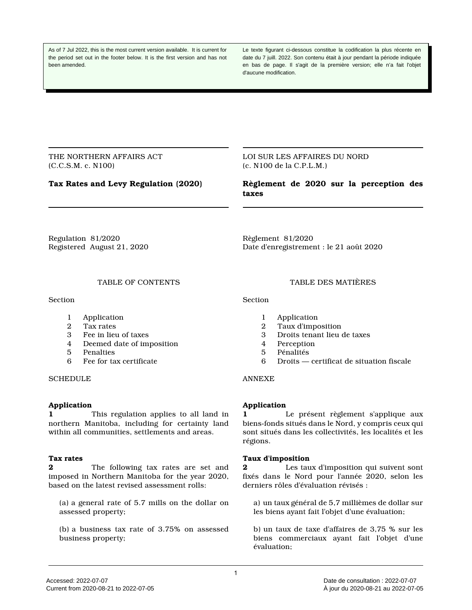As of 7 Jul 2022, this is the most current version available. It is current for the period set out in the footer below. It is the first version and has not been amended.

Le texte figurant ci-dessous constitue la codification la plus récente en date du 7 juill. 2022. Son contenu était à jour pendant la période indiquée en bas de page. Il s'agit de la première version; elle n'a fait l'objet d'aucune modification.

THE NORTHERN AFFAIRS ACT (C.C.S.M. c. N100)

LOI SUR LES AFFAIRES DU NORD (c. N100 de la C.P.L.M.)

**Tax Rates and Levy Regulation (2020)**

**Règlement de 2020 sur la perception des taxes**

Regulation 81/2020 Registered August 21, 2020 Règlement 81/2020 Date d'enregistrement : le 21 août 2020

#### TABLE OF CONTENTS

**Section** 

- 1 Application<br>2 Tax rates
- 2 Tax rates<br>3 Fee in lieu
- 3 Fee in lieu of taxes
- 4 Deemed date of imposition
- 5 Penalties
- 6 Fee for tax certificate

**SCHEDULE** 

## **Application**

**1** This regulation applies to all land in northern Manitoba, including for certainty land within all communities, settlements and areas.

#### **Tax rates**

**2** The following tax rates are set and imposed in Northern Manitoba for the year 2020, based on the latest revised assessment rolls:

(a) a general rate of 5.7 mills on the dollar on assessed property;

(b) a business tax rate of 3.75% on assessed business property;

#### TABLE DES MATIÈRES

**Section** 

- 1 Application<br>2 Taux d'impo
- 2 Taux d'imposition<br>3 Droits tenant lieu
- 3 Droits tenant lieu de taxes
- 4 Perception
- 5 Pénalités
- 6 Droits certificat de situation fiscale

# ANNEXE

# **Application**

**1** Le présent règlement s'applique aux biens-fonds situés dans le Nord, y compris ceux qui sont situés dans les collectivités, les localités et les régions.

## **Taux d'imposition**

**2** Les taux d'imposition qui suivent sont fixés dans le Nord pour l'année 2020, selon les derniers rôles d'évaluation révisés :

a) un taux général de 5,7 millièmes de dollar sur les biens ayant fait l'objet d'une évaluation;

b) un taux de taxe d'affaires de 3,75 % sur les biens commerciaux ayant fait l'objet d'une évaluation;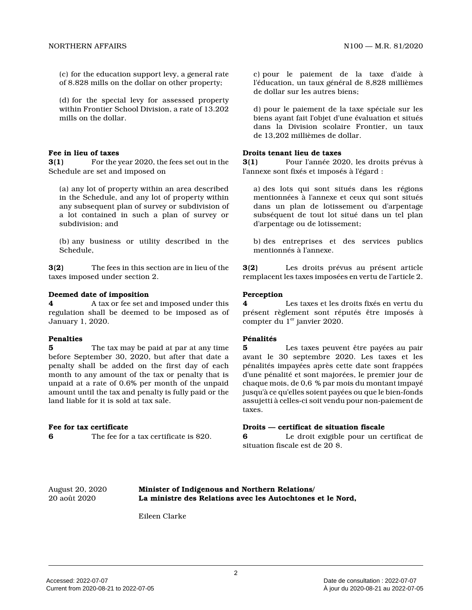(c) for the education support levy, a general rate of 8.828 mills on the dollar on other property;

(d) for the special levy for assessed property within Frontier School Division, a rate of 13.202 mills on the dollar.

#### **Fee in lieu of taxes**

**3(1)** For the year 2020, the fees set out in the Schedule are set and imposed on

(a) any lot of property within an area described in the Schedule, and any lot of property within any subsequent plan of survey or subdivision of a lot contained in such a plan of survey or subdivision; and

(b) any business or utility described in the Schedule,

**3(2)** The fees in this section are in lieu of the taxes imposed under section 2.

#### **Deemed date of imposition**

**4** A tax or fee set and imposed under this regulation shall be deemed to be imposed as of January 1, 2020.

#### **Penalties**

**5** The tax may be paid at par at any time before September 30, 2020, but after that date a penalty shall be added on the first day of each month to any amount of the tax or penalty that is unpaid at a rate of 0.6% per month of the unpaid amount until the tax and penalty is fully paid or the land liable for it is sold at tax sale.

#### **Fee for tax certificate**

**6** The fee for a tax certificate is \$20.

c) pour le paiement de la taxe d'aide à l'éducation, un taux général de 8,828 millièmes de dollar sur les autres biens;

d) pour le paiement de la taxe spéciale sur les biens ayant fait l'objet d'une évaluation et situés dans la Division scolaire Frontier, un taux de 13,202 millièmes de dollar.

### **Droits tenant lieu de taxes**

**3(1)** Pour l'année 2020, les droits prévus à l'annexe sont fixés et imposés à l'égard :

a) des lots qui sont situés dans les régions mentionnées à l'annexe et ceux qui sont situés dans un plan de lotissement ou d'arpentage subséquent de tout lot situé dans un tel plan d'arpentage ou de lotissement;

b) des entreprises et des services publics mentionnés à l'annexe.

**3(2)** Les droits prévus au présent article remplacent les taxes imposées en vertu de l'article 2.

#### **Perception**

**4** Les taxes et les droits fixés en vertu du présent règlement sont réputés être imposés à compter du  $1<sup>er</sup>$  janvier 2020.

#### **Pénalités**

**5** Les taxes peuvent être payées au pair avant le 30 septembre 2020. Les taxes et les pénalités impayées après cette date sont frappées d'une pénalité et sont majorées, le premier jour de chaque mois, de 0,6 % par mois du montant impayé jusqu'à ce qu'elles soient payées ou que le bien-fonds assujetti à celles-ci soit vendu pour non-paiement de taxes.

#### **Droits — certificat de situation fiscale**

**6** Le droit exigible pour un certificat de situation fiscale est de 20 \$.

August 20, 2020 **Minister of Indigenous and Northern Relations/** 20 août 2020 **La ministre des Relations avec les Autochtones et le Nord,**

Eileen Clarke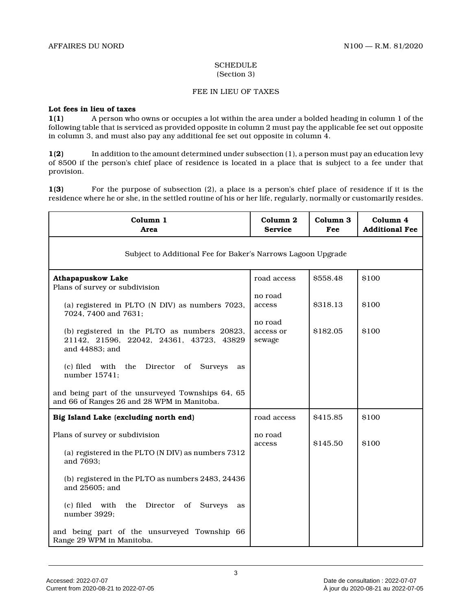#### **SCHEDULE** (Section 3)

#### FEE IN LIEU OF TAXES

#### **Lot fees in lieu of taxes**

**1(1)** A person who owns or occupies a lot within the area under a bolded heading in column 1 of the following table that is serviced as provided opposite in column 2 must pay the applicable fee set out opposite in column 3, and must also pay any additional fee set out opposite in column 4.

**1(2)** In addition to the amount determined under subsection (1), a person must pay an education levy of \$500 if the person's chief place of residence is located in a place that is subject to a fee under that provision.

**1(3)** For the purpose of subsection (2), a place is a person's chief place of residence if it is the residence where he or she, in the settled routine of his or her life, regularly, normally or customarily resides.

| Column 1<br>Area                                                                                 | Column <sub>2</sub><br><b>Service</b> | Column 3<br>Fee | Column 4<br><b>Additional Fee</b> |
|--------------------------------------------------------------------------------------------------|---------------------------------------|-----------------|-----------------------------------|
| Subject to Additional Fee for Baker's Narrows Lagoon Upgrade                                     |                                       |                 |                                   |
| <b>Athapapuskow Lake</b>                                                                         | road access                           | \$558.48        | \$100                             |
| Plans of survey or subdivision                                                                   | no road                               |                 |                                   |
| (a) registered in PLTO (N DIV) as numbers 7023,                                                  | access                                | \$318.13        | \$100                             |
| 7024, 7400 and 7631;                                                                             | no road                               |                 |                                   |
| (b) registered in the PLTO as numbers 20823,<br>21142, 21596, 22042, 24361, 43723, 43829         | access or<br>sewage                   | \$182.05        | \$100                             |
| and 44883; and                                                                                   |                                       |                 |                                   |
| (c) filed<br>with<br>the Director of Surveys<br>as<br>number 15741;                              |                                       |                 |                                   |
| and being part of the unsurveyed Townships 64, 65<br>and 66 of Ranges 26 and 28 WPM in Manitoba. |                                       |                 |                                   |
| Big Island Lake (excluding north end)                                                            | road access                           | \$415.85        | \$100                             |
| Plans of survey or subdivision                                                                   | no road                               |                 |                                   |
| (a) registered in the PLTO (N DIV) as numbers 7312                                               | access                                | \$145.50        | \$100                             |
| and 7693;                                                                                        |                                       |                 |                                   |
| (b) registered in the PLTO as numbers 2483, 24436<br>and 25605; and                              |                                       |                 |                                   |
| (c) filed with<br>the Director of Surveys<br>as<br>number 3929;                                  |                                       |                 |                                   |
| and being part of the unsurveyed Township 66<br>Range 29 WPM in Manitoba.                        |                                       |                 |                                   |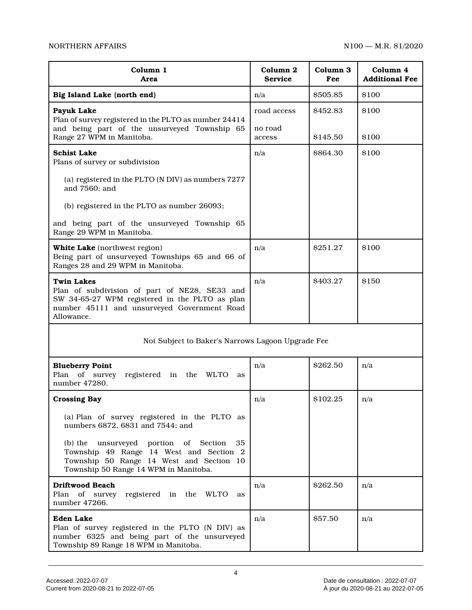| Column 1<br>Area                                                                                                                                                                  | Column 2<br><b>Service</b> | Column 3<br>Fee | Column 4<br><b>Additional Fee</b> |  |
|-----------------------------------------------------------------------------------------------------------------------------------------------------------------------------------|----------------------------|-----------------|-----------------------------------|--|
| Big Island Lake (north end)                                                                                                                                                       | n/a                        | \$505.85        | \$100                             |  |
| Payuk Lake<br>Plan of survey registered in the PLTO as number 24414                                                                                                               | road access                | \$452.83        | \$100                             |  |
| and being part of the unsurveyed Township 65<br>Range 27 WPM in Manitoba.                                                                                                         | no road<br>access          | \$145.50        | \$100                             |  |
| <b>Schist Lake</b><br>Plans of survey or subdivision                                                                                                                              | n/a                        | \$864.30        | \$100                             |  |
| (a) registered in the PLTO (N DIV) as numbers 7277<br>and 7560; and                                                                                                               |                            |                 |                                   |  |
| (b) registered in the PLTO as number 26093;                                                                                                                                       |                            |                 |                                   |  |
| and being part of the unsurveyed Township 65<br>Range 29 WPM in Manitoba.                                                                                                         |                            |                 |                                   |  |
| White Lake (northwest region)<br>Being part of unsurveyed Townships 65 and 66 of<br>Ranges 28 and 29 WPM in Manitoba.                                                             | n/a                        | \$251.27        | \$100                             |  |
| <b>Twin Lakes</b><br>Plan of subdivision of part of NE28, SE33 and<br>SW 34-65-27 WPM registered in the PLTO as plan<br>number 45111 and unsurveyed Government Road<br>Allowance. | n/a                        | \$403.27        | \$150                             |  |
| Not Subject to Baker's Narrows Lagoon Upgrade Fee                                                                                                                                 |                            |                 |                                   |  |
| <b>Blueberry Point</b><br>Plan of survey<br>registered in the WLTO<br>as<br>number 47280.                                                                                         | n/a                        | \$262.50        | n/a                               |  |
| <b>Crossing Bay</b>                                                                                                                                                               | n/a                        | \$102.25        | n/a                               |  |
| (a) Plan of survey registered in the PLTO as<br>numbers 6872, 6831 and 7544; and                                                                                                  |                            |                 |                                   |  |

| (b) the unsurveyed portion of Section 35<br>Township 49 Range 14 West and Section 2<br>Township 50 Range 14 West and Section 10<br>Township 50 Range 14 WPM in Manitoba. |     |          |     |
|--------------------------------------------------------------------------------------------------------------------------------------------------------------------------|-----|----------|-----|
| Driftwood Beach<br>Plan of survey registered in the WLTO<br>as<br>number 47266.                                                                                          | n/a | \$262.50 | n/a |
| Eden Lake<br>Plan of survey registered in the PLTO (N DIV) as<br>number 6325 and being part of the unsurveyed<br>Township 89 Range 18 WPM in Manitoba.                   | n/a | \$57.50  | n/a |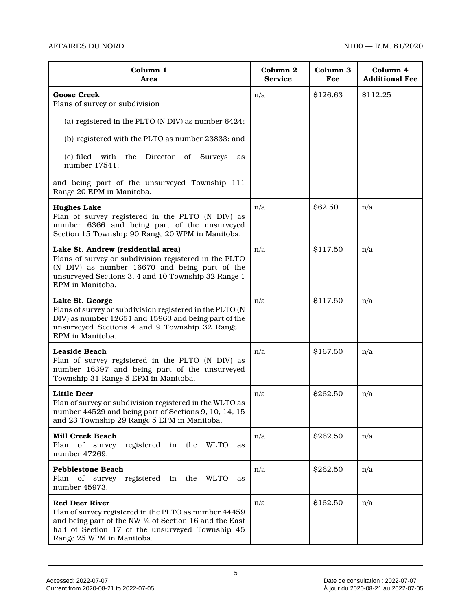| Column 1<br>Area                                                                                                                                                                                                           | Column 2<br><b>Service</b> | Column 3<br>Fee | Column 4<br><b>Additional Fee</b> |
|----------------------------------------------------------------------------------------------------------------------------------------------------------------------------------------------------------------------------|----------------------------|-----------------|-----------------------------------|
| <b>Goose Creek</b><br>Plans of survey or subdivision                                                                                                                                                                       | n/a                        | \$126.63        | \$112.25                          |
| (a) registered in the PLTO (N DIV) as number 6424;                                                                                                                                                                         |                            |                 |                                   |
| (b) registered with the PLTO as number 23833; and                                                                                                                                                                          |                            |                 |                                   |
| (c) filed with<br>the<br>Director<br>of<br><b>Surveys</b><br>as<br>number 17541;                                                                                                                                           |                            |                 |                                   |
| and being part of the unsurveyed Township 111<br>Range 20 EPM in Manitoba.                                                                                                                                                 |                            |                 |                                   |
| <b>Hughes Lake</b><br>Plan of survey registered in the PLTO (N DIV) as<br>number 6366 and being part of the unsurveyed<br>Section 15 Township 90 Range 20 WPM in Manitoba.                                                 | n/a                        | \$62.50         | n/a                               |
| Lake St. Andrew (residential area)<br>Plans of survey or subdivision registered in the PLTO<br>(N DIV) as number 16670 and being part of the<br>unsurveyed Sections 3, 4 and 10 Township 32 Range 1<br>EPM in Manitoba.    | n/a                        | \$117.50        | n/a                               |
| Lake St. George<br>Plans of survey or subdivision registered in the PLTO (N<br>DIV) as number 12651 and 15963 and being part of the<br>unsurveyed Sections 4 and 9 Township 32 Range 1<br>EPM in Manitoba.                 | n/a                        | \$117.50        | n/a                               |
| <b>Leaside Beach</b><br>Plan of survey registered in the PLTO (N DIV) as<br>number 16397 and being part of the unsurveyed<br>Township 31 Range 5 EPM in Manitoba.                                                          | n/a                        | \$167.50        | n/a                               |
| <b>Little Deer</b><br>Plan of survey or subdivision registered in the WLTO as<br>number 44529 and being part of Sections 9, 10, 14, 15<br>and 23 Township 29 Range 5 EPM in Manitoba.                                      | n/a                        | \$262.50        | n/a                               |
| <b>Mill Creek Beach</b><br>Plan of survey<br>registered in the<br><b>WLTO</b><br>as<br>number 47269.                                                                                                                       | n/a                        | \$262.50        | n/a                               |
| <b>Pebblestone Beach</b><br>Plan of survey registered in the WLTO<br>as<br>number 45973.                                                                                                                                   | n/a                        | \$262.50        | n/a                               |
| <b>Red Deer River</b><br>Plan of survey registered in the PLTO as number 44459<br>and being part of the NW 1/4 of Section 16 and the East<br>half of Section 17 of the unsurveyed Township 45<br>Range 25 WPM in Manitoba. | n/a                        | \$162.50        | n/a                               |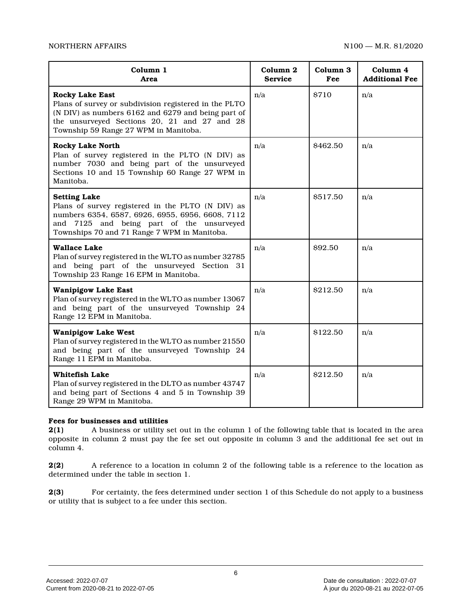| Column 1<br>Area                                                                                                                                                                                                               | Column <sub>2</sub><br><b>Service</b> | Column 3<br>Fee | Column 4<br><b>Additional Fee</b> |
|--------------------------------------------------------------------------------------------------------------------------------------------------------------------------------------------------------------------------------|---------------------------------------|-----------------|-----------------------------------|
| <b>Rocky Lake East</b><br>Plans of survey or subdivision registered in the PLTO<br>(N DIV) as numbers 6162 and 6279 and being part of<br>the unsurveyed Sections 20, 21 and 27 and 28<br>Township 59 Range 27 WPM in Manitoba. | n/a                                   | \$710           | n/a                               |
| <b>Rocky Lake North</b><br>Plan of survey registered in the PLTO (N DIV) as<br>number 7030 and being part of the unsurveyed<br>Sections 10 and 15 Township 60 Range 27 WPM in<br>Manitoba.                                     | n/a                                   | \$462.50        | n/a                               |
| <b>Setting Lake</b><br>Plans of survey registered in the PLTO (N DIV) as<br>numbers 6354, 6587, 6926, 6955, 6956, 6608, 7112<br>and 7125 and being part of the unsurveyed<br>Townships 70 and 71 Range 7 WPM in Manitoba.      | n/a                                   | \$517.50        | n/a                               |
| <b>Wallace Lake</b><br>Plan of survey registered in the WLTO as number 32785<br>and being part of the unsurveyed Section 31<br>Township 23 Range 16 EPM in Manitoba.                                                           | n/a                                   | \$92.50         | n/a                               |
| <b>Wanipigow Lake East</b><br>Plan of survey registered in the WLTO as number 13067<br>and being part of the unsurveyed Township 24<br>Range 12 EPM in Manitoba.                                                               | n/a                                   | \$212.50        | n/a                               |
| <b>Wanipigow Lake West</b><br>Plan of survey registered in the WLTO as number 21550<br>and being part of the unsurveyed Township 24<br>Range 11 EPM in Manitoba.                                                               | n/a                                   | \$122.50        | n/a                               |
| <b>Whitefish Lake</b><br>Plan of survey registered in the DLTO as number 43747<br>and being part of Sections 4 and 5 in Township 39<br>Range 29 WPM in Manitoba.                                                               | n/a                                   | \$212.50        | n/a                               |

#### **Fees for businesses and utilities**

**2(1)** A business or utility set out in the column 1 of the following table that is located in the area opposite in column 2 must pay the fee set out opposite in column 3 and the additional fee set out in column 4.

**2(2)** A reference to a location in column 2 of the following table is a reference to the location as determined under the table in section 1.

**2(3)** For certainty, the fees determined under section 1 of this Schedule do not apply to a business or utility that is subject to a fee under this section.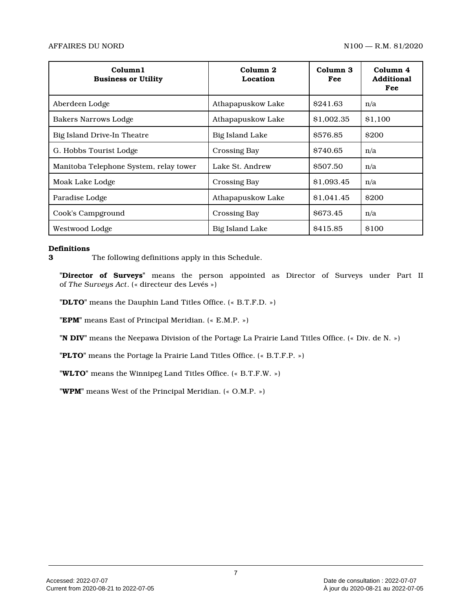| Column <sub>1</sub><br><b>Business or Utility</b> | Column <sub>2</sub><br>Location | Column 3<br>Fee | Column 4<br><b>Additional</b><br>Fee |
|---------------------------------------------------|---------------------------------|-----------------|--------------------------------------|
| Aberdeen Lodge                                    | Athapapuskow Lake               | \$241.63        | n/a                                  |
| <b>Bakers Narrows Lodge</b>                       | Athapapuskow Lake               | \$1,002.35      | \$1.100                              |
| Big Island Drive-In Theatre                       | <b>Big Island Lake</b>          | \$576.85        | <b>\$200</b>                         |
| G. Hobbs Tourist Lodge                            | Crossing Bay                    | \$740.65        | n/a                                  |
| Manitoba Telephone System, relay tower            | Lake St. Andrew                 | \$507.50        | n/a                                  |
| Moak Lake Lodge                                   | <b>Crossing Bay</b>             | \$1,093.45      | n/a                                  |
| Paradise Lodge                                    | Athapapuskow Lake               | \$1,041.45      | <b>\$200</b>                         |
| Cook's Campground                                 | <b>Crossing Bay</b>             | \$673.45        | n/a                                  |
| Westwood Lodge                                    | <b>Big Island Lake</b>          | \$415.85        | \$100                                |

#### **Definitions**

**3** The following definitions apply in this Schedule.

**"Director of Surveys"** means the person appointed as Director of Surveys under Part II of *The Surveys Act*. (« directeur des Levés »)

**"DLTO"** means the Dauphin Land Titles Office. (« B.T.F.D. »)

**"EPM"** means East of Principal Meridian. (« E.M.P. »)

**"N DIV"** means the Neepawa Division of the Portage La Prairie Land Titles Office. (« Div. de N. »)

**"PLTO"** means the Portage la Prairie Land Titles Office. (« B.T.F.P. »)

**"WLTO"** means the Winnipeg Land Titles Office. (« B.T.F.W. »)

**"WPM"** means West of the Principal Meridian. (« O.M.P. »)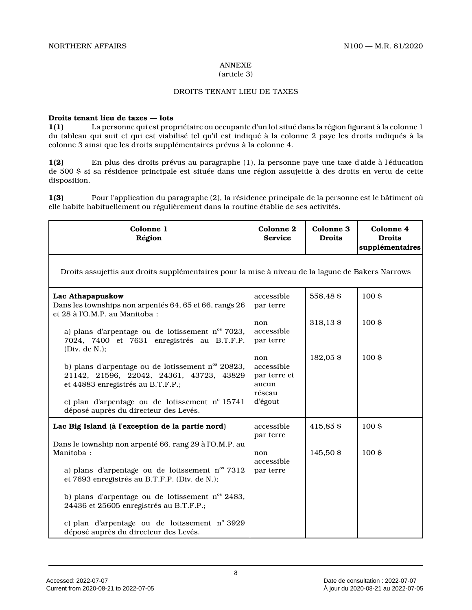#### ANNEXE (article 3)

#### DROITS TENANT LIEU DE TAXES

#### **Droits tenant lieu de taxes — lots**

**1(1)** La personne qui est propriétaire ou occupante d'un lot situé dans la région figurant à la colonne 1 du tableau qui suit et qui est viabilisé tel qu'il est indiqué à la colonne 2 paye les droits indiqués à la colonne 3 ainsi que les droits supplémentaires prévus à la colonne 4.

**1(2)** En plus des droits prévus au paragraphe (1), la personne paye une taxe d'aide à l'éducation de 500 \$ si sa résidence principale est située dans une région assujettie à des droits en vertu de cett e disposition.

**1(3)** Pour l'application du paragraphe (2), la résidence principale de la personne est le bâtiment où elle habite habituellement ou régulièrement dans la routine établie de ses activités.

| Colonne 1<br>Région                                                                                                                                                                                                          | Colonne 2<br><b>Service</b>                                     | Colonne 3<br><b>Droits</b> | Colonne 4<br><b>Droits</b><br>supplémentaires |
|------------------------------------------------------------------------------------------------------------------------------------------------------------------------------------------------------------------------------|-----------------------------------------------------------------|----------------------------|-----------------------------------------------|
| Droits assujettis aux droits supplémentaires pour la mise à niveau de la lagune de Bakers Narrows                                                                                                                            |                                                                 |                            |                                               |
| Lac Athapapuskow<br>Dans les townships non arpentés 64, 65 et 66, rangs 26<br>et 28 à l'O.M.P. au Manitoba :                                                                                                                 | accessible<br>par terre                                         | 558,48\$                   | 100 <sub>5</sub>                              |
| a) plans d'arpentage ou de lotissement $n^{\circ}$ 7023,<br>7024, 7400 et 7631 enregistrés au B.T.F.P.<br>(Div. de $N.$ );                                                                                                   | non<br>accessible<br>par terre                                  | 318,13\$                   | 100 <sub>5</sub>                              |
| b) plans d'arpentage ou de lotissement n° 20823,<br>21142, 21596, 22042, 24361, 43723, 43829<br>et 44883 enregistrés au B.T.F.P.;<br>c) plan d'arpentage ou de lotissement n° 15741<br>déposé auprès du directeur des Levés. | non<br>accessible<br>par terre et<br>aucun<br>réseau<br>d'égout | 182,05\$                   | 100 <sub>5</sub>                              |
| Lac Big Island (à l'exception de la partie nord)                                                                                                                                                                             | accessible                                                      | 415,85\$                   | 100 <sub>5</sub>                              |
| Dans le township non arpenté 66, rang 29 à l'O.M.P. au<br>Manitoba:<br>a) plans d'arpentage ou de lotissement n <sup>os</sup> 7312<br>et 7693 enregistrés au B.T.F.P. (Div. de N.);                                          | par terre<br>non<br>accessible<br>par terre                     | 145,50 \$                  | 100 <sub>5</sub>                              |
| b) plans d'arpentage ou de lotissement n <sup>os</sup> 2483,<br>24436 et 25605 enregistrés au B.T.F.P.;                                                                                                                      |                                                                 |                            |                                               |
| c) plan d'arpentage ou de lotissement n° 3929<br>déposé auprès du directeur des Levés.                                                                                                                                       |                                                                 |                            |                                               |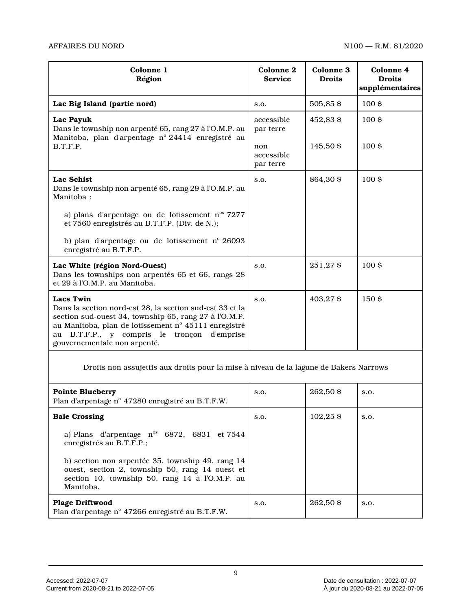| Colonne 1<br>Région                                                                                                                                                                                                                                                             | Colonne <sub>2</sub><br><b>Service</b> | Colonne 3<br><b>Droits</b> | Colonne 4<br><b>Droits</b><br>supplémentaires |
|---------------------------------------------------------------------------------------------------------------------------------------------------------------------------------------------------------------------------------------------------------------------------------|----------------------------------------|----------------------------|-----------------------------------------------|
| Lac Big Island (partie nord)                                                                                                                                                                                                                                                    | S.O.                                   | 505,85\$                   | 100S                                          |
| Lac Payuk<br>Dans le township non arpenté 65, rang 27 à l'O.M.P. au<br>Manitoba, plan d'arpentage nº 24414 enregistré au<br>B.T.F.P.                                                                                                                                            | accessible<br>par terre                | 452.83 \$                  | 100S                                          |
|                                                                                                                                                                                                                                                                                 | non<br>accessible<br>par terre         | 145,50 \$                  | 100S                                          |
| <b>Lac Schist</b><br>Dans le township non arpenté 65, rang 29 à l'O.M.P. au<br>Manitoba:                                                                                                                                                                                        | S.O.                                   | 864,30 \$                  | 100 <sub>5</sub>                              |
| a) plans d'arpentage ou de lotissement $n^{\circ}$ 7277<br>et 7560 enregistrés au B.T.F.P. (Div. de N.);                                                                                                                                                                        |                                        |                            |                                               |
| b) plan d'arpentage ou de lotissement nº 26093<br>enregistré au B.T.F.P.                                                                                                                                                                                                        |                                        |                            |                                               |
| Lac White (région Nord-Ouest)<br>Dans les townships non arpentés 65 et 66, rangs 28<br>et 29 à l'O.M.P. au Manitoba.                                                                                                                                                            | S.O.                                   | 251,27\$                   | 100 <sub>5</sub>                              |
| <b>Lacs Twin</b><br>Dans la section nord-est 28, la section sud-est 33 et la<br>section sud-ouest 34, township 65, rang 27 à l'O.M.P.<br>au Manitoba, plan de lotissement nº 45111 enregistré<br>au B.T.F.P., y compris le tronçon<br>d'emprise<br>gouvernementale non arpenté. | S.O.                                   | 403,27 \$                  | 150\$                                         |

Droits non assujettis aux droits pour la mise à niveau de la lagune de Bakers Narrows

| <b>Pointe Blueberry</b><br>Plan d'arpentage n° 47280 enregistré au B.T.F.W.                                                                                        | S.O. | 262.50 \$ | S.O. |
|--------------------------------------------------------------------------------------------------------------------------------------------------------------------|------|-----------|------|
| <b>Baie Crossing</b>                                                                                                                                               | S.O. | 102.25S   | S.O. |
| a) Plans d'arpentage $n^{\circ}$ 6872, 6831 et 7544<br>enregistrés au B.T.F.P.;                                                                                    |      |           |      |
| b) section non arpentée 35, township 49, rang 14<br>ouest, section 2, township 50, rang 14 ouest et<br>section 10, township 50, rang 14 à l'O.M.P. au<br>Manitoba. |      |           |      |
| <b>Plage Driftwood</b><br>Plan d'arpentage n° 47266 enregistré au B.T.F.W.                                                                                         | S.O. | 262.50 \$ | S.O. |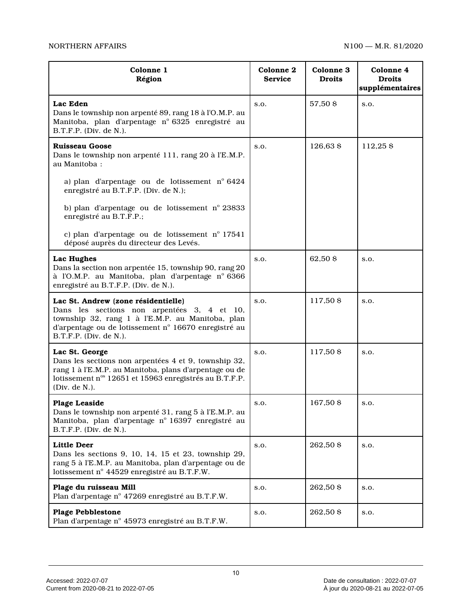### NORTHERN AFFAIRS NORTHERN AFFAIRS

| Colonne 1<br>Région                                                                                                                                                                                                      | <b>Colonne 2</b><br><b>Service</b> | Colonne 3<br><b>Droits</b> | Colonne 4<br><b>Droits</b><br>supplémentaires |
|--------------------------------------------------------------------------------------------------------------------------------------------------------------------------------------------------------------------------|------------------------------------|----------------------------|-----------------------------------------------|
| Lac Eden<br>Dans le township non arpenté 89, rang 18 à l'O.M.P. au<br>Manitoba, plan d'arpentage nº 6325 enregistré au<br>B.T.F.P. (Div. de N.).                                                                         | S.O.                               | 57,50 \$                   | S.O.                                          |
| <b>Ruisseau Goose</b><br>Dans le township non arpenté 111, rang 20 à l'E.M.P.<br>au Manitoba:                                                                                                                            | S.O.                               | 126,63 \$                  | 112,25 \$                                     |
| a) plan d'arpentage ou de lotissement n° 6424<br>enregistré au B.T.F.P. (Div. de N.);                                                                                                                                    |                                    |                            |                                               |
| b) plan d'arpentage ou de lotissement nº 23833<br>enregistré au B.T.F.P.;                                                                                                                                                |                                    |                            |                                               |
| c) plan d'arpentage ou de lotissement n° 17541<br>déposé auprès du directeur des Levés.                                                                                                                                  |                                    |                            |                                               |
| Lac Hughes<br>Dans la section non arpentée 15, township 90, rang 20<br>à l'O.M.P. au Manitoba, plan d'arpentage nº 6366<br>enregistré au B.T.F.P. (Div. de N.).                                                          | S.O.                               | 62,50 \$                   | S.O.                                          |
| Lac St. Andrew (zone résidentielle)<br>Dans les sections non arpentées 3, 4 et 10,<br>township 32, rang 1 à l'E.M.P. au Manitoba, plan<br>d'arpentage ou de lotissement nº 16670 enregistré au<br>B.T.F.P. (Div. de N.). | S.O.                               | 117,50 \$                  | S.O.                                          |
| Lac St. George<br>Dans les sections non arpentées 4 et 9, township 32,<br>rang 1 à l'E.M.P. au Manitoba, plans d'arpentage ou de<br>lotissement n° 12651 et 15963 enregistrés au B.T.F.P.<br>(Div. de N.).               | S.O.                               | 117,50 \$                  | S.O.                                          |
| <b>Plage Leaside</b><br>Dans le township non arpenté 31, rang 5 à l'E.M.P. au<br>Manitoba, plan d'arpentage nº 16397 enregistré au<br>B.T.F.P. (Div. de N.).                                                             | S.O.                               | 167,50 \$                  | S.O.                                          |
| <b>Little Deer</b><br>Dans les sections 9, 10, 14, 15 et 23, township 29,<br>rang 5 à l'E.M.P. au Manitoba, plan d'arpentage ou de<br>lotissement nº 44529 enregistré au B.T.F.W.                                        | S.O.                               | 262,50 \$                  | S.O.                                          |
| Plage du ruisseau Mill<br>Plan d'arpentage nº 47269 enregistré au B.T.F.W.                                                                                                                                               | S.O.                               | 262,50 \$                  | S.O.                                          |
| <b>Plage Pebblestone</b><br>Plan d'arpentage n° 45973 enregistré au B.T.F.W.                                                                                                                                             | S.O.                               | 262,50 \$                  | S.O.                                          |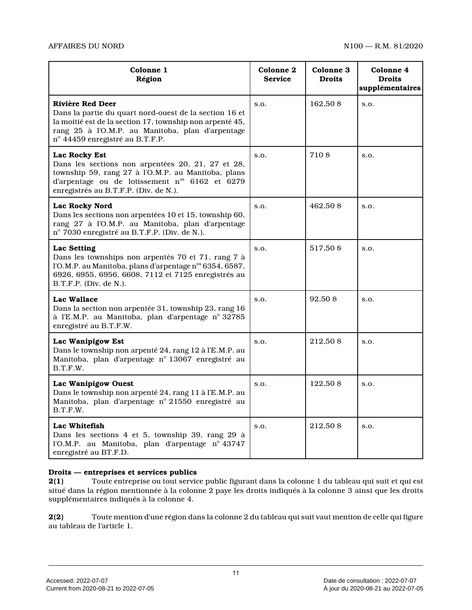| Colonne 1<br>Région                                                                                                                                                                                                             | Colonne 2<br><b>Service</b> | <b>Colonne 3</b><br><b>Droits</b> | Colonne 4<br><b>Droits</b><br>supplémentaires |
|---------------------------------------------------------------------------------------------------------------------------------------------------------------------------------------------------------------------------------|-----------------------------|-----------------------------------|-----------------------------------------------|
| Rivière Red Deer<br>Dans la partie du quart nord-ouest de la section 16 et<br>la moitié est de la section 17, township non arpenté 45,<br>rang 25 à l'O.M.P. au Manitoba, plan d'arpentage<br>nº 44459 enregistré au B.T.F.P.   | S.O.                        | 162,50 \$                         | S.O.                                          |
| Lac Rocky Est<br>Dans les sections non arpentées 20, 21, 27 et 28,<br>township 59, rang 27 à l'O.M.P. au Manitoba, plans<br>d'arpentage ou de lotissement n <sup>os</sup> 6162 et 6279<br>enregistrés au B.T.F.P. (Div. de N.). | S.O.                        | 710\$                             | S.O.                                          |
| <b>Lac Rocky Nord</b><br>Dans les sections non arpentées 10 et 15, township 60,<br>rang 27 à l'O.M.P. au Manitoba, plan d'arpentage<br>nº 7030 enregistré au B.T.F.P. (Div. de N.).                                             | S.O.                        | 462,50 \$                         | S.O.                                          |
| Lac Setting<br>Dans les townships non arpentés 70 et 71, rang 7 à<br>l'O.M.P. au Manitoba, plans d'arpentage n° 6354, 6587,<br>6926, 6955, 6956, 6608, 7112 et 7125 enregistrés au<br>$B.T.F.P.$ (Div. de N.).                  | S.O.                        | 517,50 \$                         | S.O.                                          |
| Lac Wallace<br>Dans la section non arpentée 31, township 23, rang 16<br>à l'E.M.P. au Manitoba, plan d'arpentage nº 32785<br>enregistré au B.T.F.W.                                                                             | S.O.                        | 92,50 \$                          | S.O.                                          |
| Lac Wanipigow Est<br>Dans le township non arpenté 24, rang 12 à l'E.M.P. au<br>Manitoba, plan d'arpentage nº 13067 enregistré au<br>B.T.F.W.                                                                                    | S.O.                        | 212,50 \$                         | S.O.                                          |
| Lac Wanipigow Ouest<br>Dans le township non arpenté 24, rang 11 à l'E.M.P. au<br>Manitoba, plan d'arpentage nº 21550 enregistré au<br>B.T.F.W.                                                                                  | S.O.                        | 122,50 \$                         | S.O.                                          |
| Lac Whitefish<br>Dans les sections 4 et 5, township 39, rang 29 à<br>l'O.M.P. au Manitoba, plan d'arpentage nº 43747<br>enregistré au BT.F.D.                                                                                   | S.O.                        | 212,50 \$                         | S.O.                                          |

#### **Droits — entreprises et services publics**

**2(1)** Toute entreprise ou tout service public figurant dans la colonne 1 du tableau qui suit et qui est situé dans la région mentionnée à la colonne 2 paye les droits indiqués à la colonne 3 ainsi que les droits supplémentaires indiqués à la colonne 4.

**2(2)** Toute mention d'une région dans la colonne 2 du tableau qui suit vaut mention de celle qui figure au tableau de l'article 1.